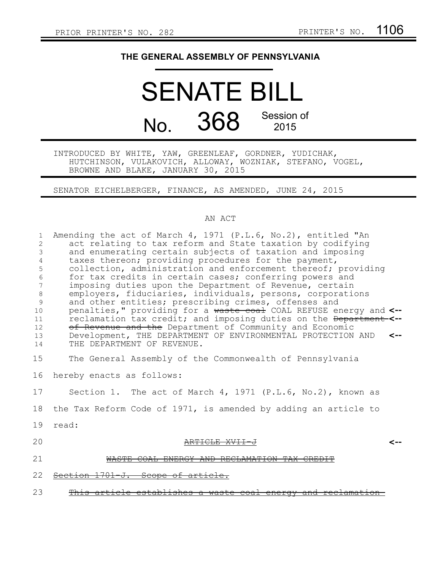## **THE GENERAL ASSEMBLY OF PENNSYLVANIA**

# SENATE BILL No. 368 Session of 2015

INTRODUCED BY WHITE, YAW, GREENLEAF, GORDNER, YUDICHAK, HUTCHINSON, VULAKOVICH, ALLOWAY, WOZNIAK, STEFANO, VOGEL, BROWNE AND BLAKE, JANUARY 30, 2015

SENATOR EICHELBERGER, FINANCE, AS AMENDED, JUNE 24, 2015

#### AN ACT

| 1<br>$\overline{2}$<br>3<br>4<br>5<br>6<br>7<br>8<br>9<br>10<br>11<br>12<br>13<br>14 | Amending the act of March 4, 1971 (P.L.6, No.2), entitled "An<br>act relating to tax reform and State taxation by codifying<br>and enumerating certain subjects of taxation and imposing<br>taxes thereon; providing procedures for the payment,<br>collection, administration and enforcement thereof; providing<br>for tax credits in certain cases; conferring powers and<br>imposing duties upon the Department of Revenue, certain<br>employers, fiduciaries, individuals, persons, corporations<br>and other entities; prescribing crimes, offenses and<br>penalties," providing for a waste coal COAL REFUSE energy and <--<br>reclamation tax credit; and imposing duties on the Department-<--<br>of Revenue and the Department of Community and Economic<br>Development, THE DEPARTMENT OF ENVIRONMENTAL PROTECTION AND<br>THE DEPARTMENT OF REVENUE. |
|--------------------------------------------------------------------------------------|-----------------------------------------------------------------------------------------------------------------------------------------------------------------------------------------------------------------------------------------------------------------------------------------------------------------------------------------------------------------------------------------------------------------------------------------------------------------------------------------------------------------------------------------------------------------------------------------------------------------------------------------------------------------------------------------------------------------------------------------------------------------------------------------------------------------------------------------------------------------|
| 15                                                                                   | The General Assembly of the Commonwealth of Pennsylvania                                                                                                                                                                                                                                                                                                                                                                                                                                                                                                                                                                                                                                                                                                                                                                                                        |
| 16                                                                                   | hereby enacts as follows:                                                                                                                                                                                                                                                                                                                                                                                                                                                                                                                                                                                                                                                                                                                                                                                                                                       |
| 17                                                                                   | Section 1. The act of March 4, 1971 (P.L.6, No.2), known as                                                                                                                                                                                                                                                                                                                                                                                                                                                                                                                                                                                                                                                                                                                                                                                                     |
| 18                                                                                   | the Tax Reform Code of 1971, is amended by adding an article to                                                                                                                                                                                                                                                                                                                                                                                                                                                                                                                                                                                                                                                                                                                                                                                                 |
| 19                                                                                   | read:                                                                                                                                                                                                                                                                                                                                                                                                                                                                                                                                                                                                                                                                                                                                                                                                                                                           |
| 20                                                                                   |                                                                                                                                                                                                                                                                                                                                                                                                                                                                                                                                                                                                                                                                                                                                                                                                                                                                 |
| 21                                                                                   |                                                                                                                                                                                                                                                                                                                                                                                                                                                                                                                                                                                                                                                                                                                                                                                                                                                                 |
| 22                                                                                   | <del>1701-j.</del><br>Scope<br><del>of ar</del>                                                                                                                                                                                                                                                                                                                                                                                                                                                                                                                                                                                                                                                                                                                                                                                                                 |
| 23                                                                                   | ticle establishes a waste coal energy<br><del>and reclama</del>                                                                                                                                                                                                                                                                                                                                                                                                                                                                                                                                                                                                                                                                                                                                                                                                 |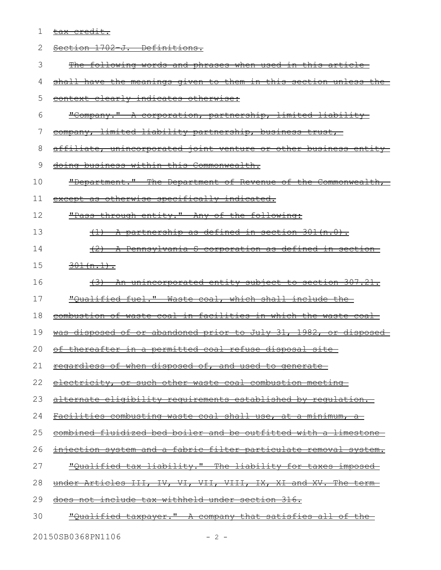|     | $\sim$ $\sim$ $\sim$ $\sim$ |
|-----|-----------------------------|
| 7 A | ا ⊥ ب<br>↽<br>. ب           |

| <u>The following words and phrases when used in this article-</u><br>shall have the meanings given to them in this section unless the<br>context clearly indicates otherwise:<br><u> "Company." A corporation, partnership, limited liability-</u><br>company, limited liability partnership, business trust, |
|---------------------------------------------------------------------------------------------------------------------------------------------------------------------------------------------------------------------------------------------------------------------------------------------------------------|
|                                                                                                                                                                                                                                                                                                               |
|                                                                                                                                                                                                                                                                                                               |
|                                                                                                                                                                                                                                                                                                               |
|                                                                                                                                                                                                                                                                                                               |
|                                                                                                                                                                                                                                                                                                               |
| <u>affiliate, unincorporated joint venture or other business entity-</u>                                                                                                                                                                                                                                      |
| doing business within this Commonwealth.                                                                                                                                                                                                                                                                      |
| "Department." The Department of Revenue of the Commonwealth,                                                                                                                                                                                                                                                  |
| except as otherwise specifically indicated.                                                                                                                                                                                                                                                                   |
| "Pass-through entity." Any of the following:                                                                                                                                                                                                                                                                  |
| A partnership as defined in section 301 (n.0).                                                                                                                                                                                                                                                                |
| (2) A Pennsylvania S corporation as defined in section                                                                                                                                                                                                                                                        |
| $301(n.1)$ .                                                                                                                                                                                                                                                                                                  |
| <u>(3) An unincorporated entity subject to section 307.21.</u>                                                                                                                                                                                                                                                |
| "Qualified fuel." Waste coal, which shall include the                                                                                                                                                                                                                                                         |
| combustion of waste coal in facilities in which the waste coal                                                                                                                                                                                                                                                |
| was disposed of or abandoned prior to July 31, 1982, or disposed                                                                                                                                                                                                                                              |
| <u>of thereafter in a permitted coal refuse disposal site-</u>                                                                                                                                                                                                                                                |
| regardless of when disposed of, and used to generate                                                                                                                                                                                                                                                          |
| electricity, or such other waste coal combustion meeting                                                                                                                                                                                                                                                      |
| alternate eligibility requirements established by requlation.                                                                                                                                                                                                                                                 |
| Facilities combusting waste coal shall use, at a minimum, a                                                                                                                                                                                                                                                   |
| <u>combined fluidized bed boiler and be outfitted with a limestone-</u>                                                                                                                                                                                                                                       |
| injection system and a fabric filter particulate removal system.                                                                                                                                                                                                                                              |
| "Qualified tax liability." The liability for taxes imposed                                                                                                                                                                                                                                                    |
| under Articles III, IV, VI, VII, VIII, IX, XI and XV. The term-                                                                                                                                                                                                                                               |
| does not include tax withheld under section 316.                                                                                                                                                                                                                                                              |
| <u>"Qualified taxpayer." A company that satisfies all of the-</u>                                                                                                                                                                                                                                             |
|                                                                                                                                                                                                                                                                                                               |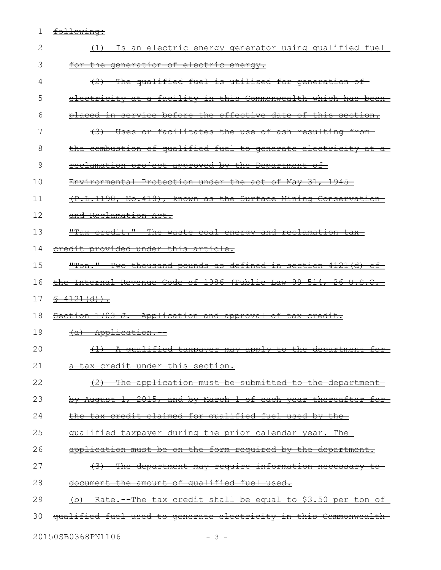#### 1 <u>following:</u>

| 2  | (1) Is an electric energy generator using qualified fuel-                |
|----|--------------------------------------------------------------------------|
| 3  | for the generation of electric energy.                                   |
| 4  | (2) The qualified fuel is utilized for generation of                     |
| 5  | electricity at a facility in this Commonwealth which has been-           |
| 6  | placed in service before the effective date of this section.             |
| 7  | (3) Uses or facilitates the use of ash resulting from-                   |
| 8  | the combustion of qualified fuel to generate electricity at a            |
| 9  | <u>reclamation project approved by the Department of</u>                 |
| 10 | Environmental Protection under the act of May 31, 1945                   |
| 11 | (P.L.1198, No.418), known as the Surface Mining Conservation             |
| 12 | and Reclamation Act.                                                     |
| 13 | "Tax credit." The waste coal energy and reclamation tax-                 |
| 14 | eredit provided under this article.                                      |
| 15 | "Ton." Two thousand pounds as defined in section 4121(d) of              |
| 16 | the Internal Revenue Code of 1986 (Public Law 99 514, 26 U.S.C.          |
| 17 | $$4121(d))$ .                                                            |
| 18 | Section 1703 J. Application and approval of tax credit.                  |
| 19 | (a) Application.                                                         |
| 20 | (1) A qualified taxpayer may apply to the department for                 |
| 21 | a tax credit under this section.                                         |
| 22 | (2) The application must be submitted to the department                  |
| 23 | by August 1, 2015, and by March 1 of each year thereafter for            |
| 24 | the tax credit claimed for qualified fuel used by the                    |
| 25 | <u>qualified taxpayer during the prior calendar year. The </u>           |
| 26 | application must be on the form required by the department.              |
| 27 | The department may require information necessary to                      |
| 28 | document the amount of qualified fuel used.                              |
| 29 | <u>Rate. The tax credit shall be equal to \$3.50 per ton of</u>          |
| 30 | <u>qualified fuel used to generate electricity in this Commonwealth-</u> |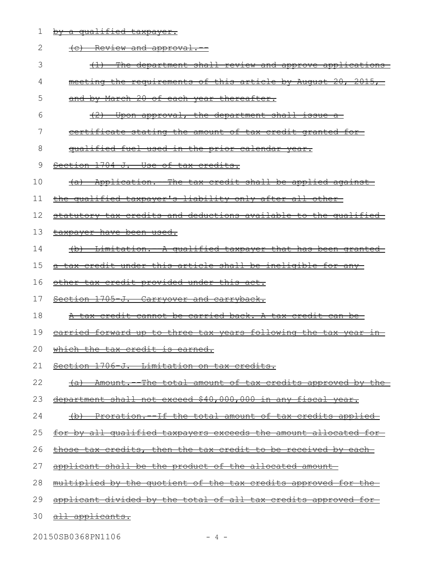1 by a qualified taxpayer.

| 2  | (c) Review and approval.                                                |
|----|-------------------------------------------------------------------------|
| 3  | <u>The department shall review and approve applications-</u>            |
| 4  | meeting the requirements of this article by August 20, 2015,            |
| 5  | and by March 20 of each year thereafter.                                |
| 6  | (2)<br>Upon approval, the department shall issue a                      |
| 7  | <u>certificate stating the amount of tax credit granted for-</u>        |
| 8  | qualified fuel used in the prior calendar year.                         |
| 9  | Section 1704-J. Use of tax credits.                                     |
| 10 | (a) Application. The tax credit shall be applied against                |
| 11 | the qualified taxpayer's liability only after all other-                |
| 12 | statutory tax credits and deductions available to the qualified         |
| 13 | taxpayer have been used.                                                |
| 14 | (b) Limitation. - A qualified taxpayer that has been granted            |
| 15 | a tax credit under this article shall be ineligible for any             |
| 16 | other tax credit provided under this act.                               |
| 17 | Section 1705-J. Carryover and carryback.                                |
| 18 | <u>A tax credit cannot be carried back. A tax credit can be-</u>        |
| 19 | <u>earried forward up to three tax years following the tax year in-</u> |
| 20 | which the tax credit is earned.                                         |
|    | 21 Section 1706-J. Limitation on tax credits.                           |
| 22 | (a) Amount. The total amount of tax credits approved by the             |
| 23 | department shall not exceed \$40,000,000 in any fiscal year.            |
| 24 | (b) Proration. If the total amount of tax credits applied               |
| 25 | <u>for by all qualified taxpayers exceeds the amount allocated for-</u> |
| 26 | those tax credits, then the tax credit to be received by each-          |
| 27 | applicant shall be the product of the allocated amount-                 |
| 28 | <u>multiplied by the quotient of the tax credits approved for the </u>  |
| 29 | applicant divided by the total of all tax credits approved for          |
| 30 | all applicants.                                                         |
|    |                                                                         |

20150SB0368PN1106 - 4 -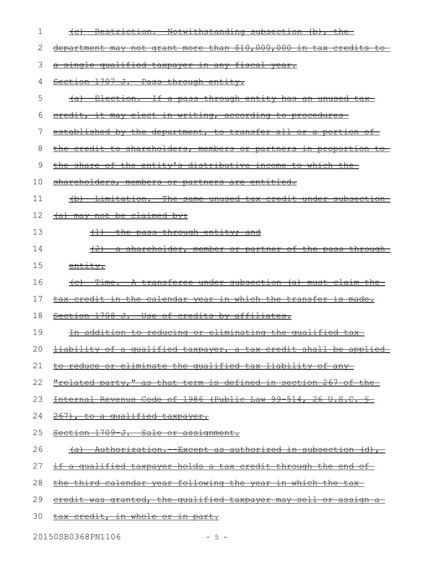| 1  | (c) Restriction. Notwithstanding subsection (b), the                              |
|----|-----------------------------------------------------------------------------------|
| 2  | department may not grant more than \$10,000,000 in tax credits to-                |
| 3  | a single qualified taxpayer in any fiscal year.                                   |
| 4  | Section 1707-J. Pass-through entity.                                              |
| 5  | <u>(a) Election.-If a pass through entity has an unused tax-</u>                  |
| 6  | credit, it may elect in writing, according to procedures                          |
| 7  | <u>established by the department, to transfer all or a portion of </u>            |
| 8  | the credit to shareholders, members or partners in proportion to-                 |
| 9  | the share of the entity's distributive income to which the                        |
| 10 | <u>shareholders, members or partners are entitled.</u>                            |
| 11 | (b) Limitation. The same unused tax credit under subsection                       |
| 12 | (a) may not be claimed by:                                                        |
| 13 | $(1)$ the pass-through entity; and                                                |
| 14 | (2) a shareholder, member or partner of the pass through                          |
| 15 | entity.                                                                           |
| 16 | (c) Time. A transferee under subsection (a) must claim the                        |
| 17 | tax credit in the calendar year in which the transfer is made.                    |
| 18 | Section 1708-J. Use of credits by affiliates.                                     |
| 19 | In addition to reducing or eliminating the qualified tax-                         |
|    | 20 <b><i>Hiability of a qualified taxpayer, a tax credit shall be applied</i></b> |
| 21 | <u>to reduce or eliminate the qualified tax liability of any-</u>                 |
| 22 | <u>"related party," as that term is defined in section 267 of the</u>             |
| 23 | Internal Revenue Code of 1986 (Public Law 99-514, 26 U.S.C. §                     |
| 24 | 267), to a qualified taxpayer.                                                    |
| 25 | Section 1709-J. Sale or assignment.                                               |
| 26 | <u>(a) Authorization. Except as authorized in subsection (d), </u>                |
| 27 | <u>if a qualified taxpayer holds a tax credit through the end of-</u>             |
| 28 | <u>the third calendar year following the year in which the tax-</u>               |
| 29 | eredit was granted, the qualified taxpayer may sell or assign a                   |
| 30 | <u>tax credit, in whole or in part.</u>                                           |
|    |                                                                                   |

20150SB0368PN1106 - 5 -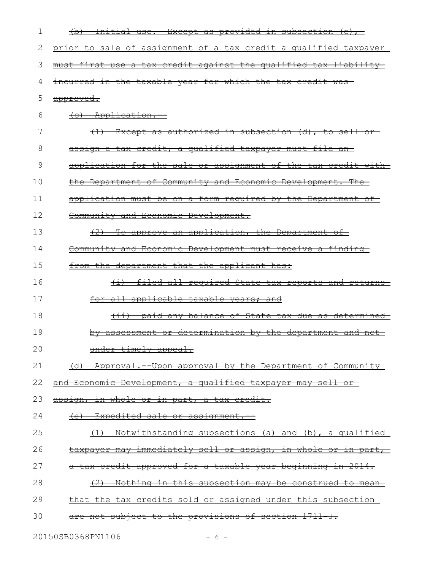| 1  | <u> Initial use.--Except as provided in subsection (e), </u>          |
|----|-----------------------------------------------------------------------|
| 2  | prior to sale of assignment of a tax credit a qualified taxpayer      |
| 3  | must first use a tax credit against the qualified tax liability       |
| 4  | incurred in the taxable year for which the tax credit was             |
| 5  | approved.                                                             |
| 6  | (c) Application.                                                      |
| 7  | $(1)$ Except as authorized in subsection $(d)$ , to sell or-          |
| 8  | assign a tax credit, a qualified taxpayer must file an-               |
| 9  | application for the sale or assignment of the tax credit with         |
| 10 | the Department of Community and Economic Development. The             |
| 11 | application must be on a form required by the Department of           |
| 12 | Community and Economic Development.                                   |
| 13 | (2) To approve an application, the Department of                      |
| 14 | Community and Economic Development must receive a finding-            |
| 15 | from the department that the applicant has:                           |
| 16 | (i) filed all required State tax reports and returns                  |
| 17 | for all applicable taxable years; and                                 |
| 18 | (ii) paid any balance of State tax due as determined                  |
| 19 | <u>by assessment or determination by the department and not-</u>      |
| 20 | under timely appeal.                                                  |
| 21 | (d) Approval. -- Upon approval by the Department of Community         |
| 22 | and Economic Development, a qualified taxpayer may sell or-           |
| 23 | <u>assign, in whole or in part, a tax credit.</u>                     |
| 24 | <u>(e) Expedited sale or assignment.--</u>                            |
| 25 | (1) Notwithstanding subsections (a) and (b), a qualified              |
| 26 | <u>taxpayer may immediately sell or assign, in whole or in part, </u> |
| 27 | a tax credit approved for a taxable year beginning in 2014.           |
| 28 | <u>(2) Nothing in this subsection may be construed to mean-</u>       |
| 29 | <u>that the tax credits sold or assigned under this subsection-</u>   |
| 30 | <u>are not subject to the provisions of section 1711 J.</u>           |
|    |                                                                       |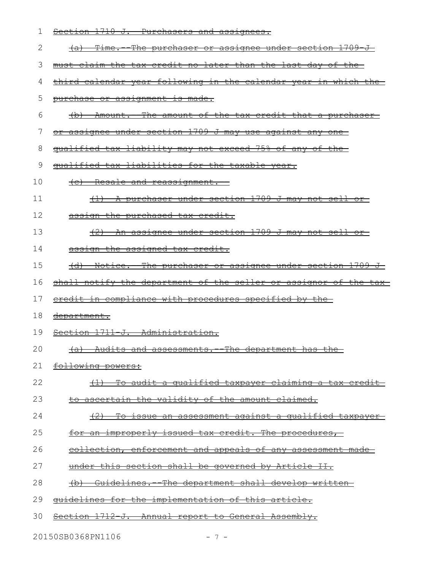| 1  | Section 1710-J. Purchasers and assignees.                                      |
|----|--------------------------------------------------------------------------------|
| 2  | <u>Time. The purchaser or assignee under section 1709 J-</u><br><del>(a)</del> |
| 3  | must claim the tax credit no later than the last day of<br><del>the</del> —    |
| 4  | third calendar year following in the calendar year in which the                |
| 5  | purchase or assignment is made.                                                |
| 6  | (b) Amount. The amount of the tax credit that a purchaser                      |
| 7  | or assignee under section 1709-J may use against any one-                      |
| 8  | qualified tax liability may not exceed 75% of any of the                       |
| 9  | qualified tax liabilities for the taxable year.                                |
| 10 | (c) Resale and reassignment.                                                   |
| 11 | (1) A purchaser under section 1709 J may not sell or                           |
| 12 | assign the purchased tax credit.                                               |
| 13 | (2) An assignee under section 1709-J may not sell or-                          |
| 14 | assign the assigned tax credit.                                                |
| 15 | (d) Notice. The purchaser or assignee under section 1709 J.                    |
|    |                                                                                |
| 16 | shall notify the department of the seller or assignor of the tax-              |
| 17 | eredit in compliance with procedures specified by the-                         |
| 18 | <u>department.</u>                                                             |
| 19 | Section 1711-J. Administration.                                                |
| 20 | (a) Audits and assessments.<br>The department has the                          |
| 21 | following powers:                                                              |
| 22 | (1) To audit a qualified taxpayer claiming a tax credit                        |
| 23 | <u>to ascertain the validity of the amount claimed.</u>                        |
| 24 | <u>(2) To issue an assessment against a qualified taxpayer-</u>                |
| 25 | for an improperly issued tax credit. The procedures,                           |
| 26 | collection, enforcement and appeals of any assessment made-                    |
| 27 | under this section shall be governed by Article II.                            |
| 28 | (b) Guidelines. The department shall develop written                           |
| 29 | guidelines for the implementation of this article.                             |

20150SB0368PN1106 - 7 -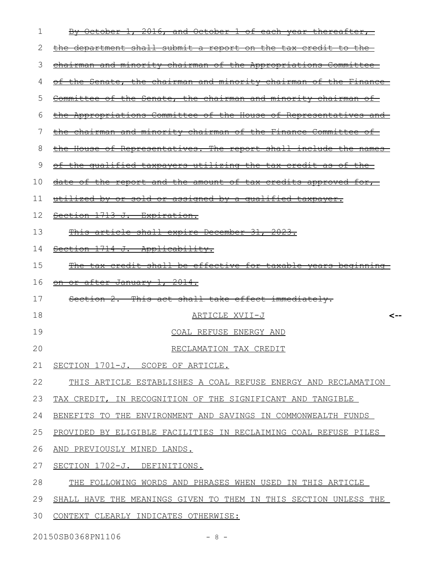| 1  | By October 1, 2016, and October 1 of each year thereafter,            |
|----|-----------------------------------------------------------------------|
| 2  | <u>the department shall submit a report on the tax credit to the-</u> |
| 3  | chairman and minority chairman of the Appropriations Committee        |
| 4  | of the Senate, the chairman and minority chairman of the Finance      |
| 5  | Committee of the Senate, the chairman and minority chairman of        |
| 6  | the Appropriations Committee of the House of Representatives and      |
| 7  | the chairman and minority chairman of the Finance Committee of        |
| 8  | the House of Representatives. The report shall include the names      |
| 9  | of the qualified taxpayers utilizing the tax credit as of the         |
| 10 | date of the report and the amount of tax credits approved for,        |
| 11 | utilized by or sold or assigned by a qualified taxpayer.              |
| 12 | Section 1713-J. Expiration.                                           |
| 13 | This article shall expire December 31, 2023.                          |
| 14 | Section 1714-J. Applicability.                                        |
| 15 | The tax credit shall be effective for taxable years beginning         |
| 16 | on or after January 1, 2014.                                          |
| 17 | Section 2. This act shall take effect immediately.                    |
| 18 | ARTICLE XVII-J<br><--                                                 |
| 19 | COAL REFUSE ENERGY AND                                                |
| 20 | RECLAMATION TAX CREDIT                                                |
| 21 | SECTION 1701-J. SCOPE OF ARTICLE.                                     |
| 22 | THIS ARTICLE ESTABLISHES A COAL REFUSE ENERGY AND RECLAMATION         |
| 23 | TAX CREDIT, IN RECOGNITION OF THE SIGNIFICANT AND TANGIBLE            |
| 24 | BENEFITS TO THE ENVIRONMENT AND SAVINGS IN COMMONWEALTH FUNDS         |
| 25 | PROVIDED BY ELIGIBLE FACILITIES IN RECLAIMING COAL REFUSE PILES       |
| 26 | AND PREVIOUSLY MINED LANDS.                                           |
| 27 | SECTION 1702-J. DEFINITIONS.                                          |
| 28 | THE FOLLOWING WORDS AND PHRASES WHEN USED IN THIS ARTICLE             |
| 29 | SHALL HAVE THE MEANINGS GIVEN TO THEM IN THIS SECTION UNLESS THE      |
| 30 | CONTEXT CLEARLY INDICATES OTHERWISE:                                  |

20150SB0368PN1106 - 8 -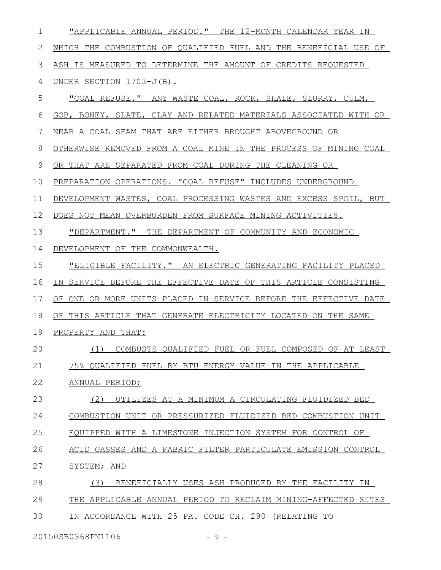| 1            | "APPLICABLE ANNUAL PERIOD." THE 12-MONTH CALENDAR YEAR IN        |
|--------------|------------------------------------------------------------------|
| $\mathbf{2}$ | WHICH THE COMBUSTION OF QUALIFIED FUEL AND THE BENEFICIAL USE OF |
| 3            | ASH IS MEASURED TO DETERMINE THE AMOUNT OF CREDITS REOUESTED     |
| 4            | UNDER SECTION 1703-J(B).                                         |
| 5            | "COAL REFUSE." ANY WASTE COAL, ROCK, SHALE, SLURRY, CULM,        |
| 6            | GOB, BONEY, SLATE, CLAY AND RELATED MATERIALS ASSOCIATED WITH OR |
| 7            | NEAR A COAL SEAM THAT ARE EITHER BROUGHT ABOVEGROUND OR          |
| 8            | OTHERWISE REMOVED FROM A COAL MINE IN THE PROCESS OF MINING COAL |
| 9            | OR THAT ARE SEPARATED FROM COAL DURING THE CLEANING OR           |
| 10           | PREPARATION OPERATIONS. "COAL REFUSE" INCLUDES UNDERGROUND       |
| 11           | DEVELOPMENT WASTES, COAL PROCESSING WASTES AND EXCESS SPOIL, BUT |
| 12           | DOES NOT MEAN OVERBURDEN FROM SURFACE MINING ACTIVITIES.         |
| 13           | "DEPARTMENT." THE DEPARTMENT OF COMMUNITY AND ECONOMIC           |
| 14           | DEVELOPMENT OF THE COMMONWEALTH.                                 |
| 15           | "ELIGIBLE FACILITY." AN ELECTRIC GENERATING FACILITY PLACED      |
| 16           | IN SERVICE BEFORE THE EFFECTIVE DATE OF THIS ARTICLE CONSISTING  |
| 17           | OF ONE OR MORE UNITS PLACED IN SERVICE BEFORE THE EFFECTIVE DATE |
| 18           | OF THIS ARTICLE THAT GENERATE ELECTRICITY LOCATED ON THE SAME    |
| 19           | PROPERTY AND THAT:                                               |
| 20           | (1) COMBUSTS OUALIFIED FUEL OR FUEL COMPOSED OF AT LEAST         |
| 21           | 75% OUALIFIED FUEL BY BTU ENERGY VALUE IN THE APPLICABLE         |
| 22           | ANNUAL PERIOD;                                                   |
| 23           | UTILIZES AT A MINIMUM A CIRCULATING FLUIDIZED BED<br>(2)         |
| 24           | COMBUSTION UNIT OR PRESSURIZED FLUIDIZED BED COMBUSTION UNIT     |
| 25           | EQUIPPED WITH A LIMESTONE INJECTION SYSTEM FOR CONTROL OF        |
| 26           | ACID GASSES AND A FABRIC FILTER PARTICULATE EMISSION CONTROL     |
| 27           | SYSTEM; AND                                                      |
| 28           | (3)<br>BENEFICIALLY USES ASH PRODUCED BY THE FACILITY IN         |
| 29           | THE APPLICABLE ANNUAL PERIOD TO RECLAIM MINING-AFFECTED SITES    |
| 30           | IN ACCORDANCE WITH 25 PA. CODE CH. 290 (RELATING TO              |

20150SB0368PN1106 - 9 -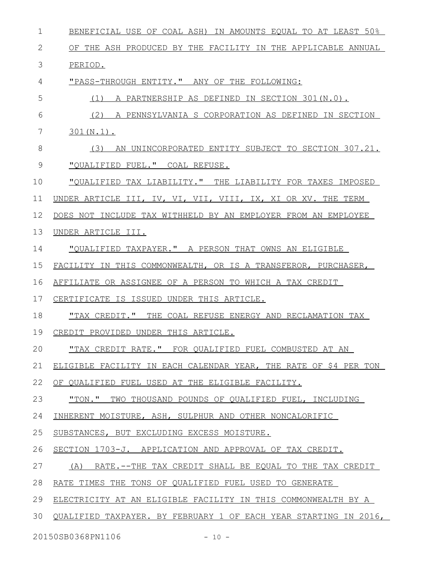| $\mathbf 1$ | BENEFICIAL USE OF COAL ASH) IN AMOUNTS EQUAL TO AT LEAST 50%     |
|-------------|------------------------------------------------------------------|
| 2           | OF THE ASH PRODUCED BY THE FACILITY IN THE APPLICABLE ANNUAL     |
| 3           | PERIOD.                                                          |
| 4           | "PASS-THROUGH ENTITY." ANY OF THE FOLLOWING:                     |
| 5           | $(1)$ A PARTNERSHIP AS DEFINED IN SECTION 301 $(N.0)$ .          |
| 6           | (2) A PENNSYLVANIA S CORPORATION AS DEFINED IN SECTION           |
| 7           | $301(N.1)$ .                                                     |
| 8           | (3) AN UNINCORPORATED ENTITY SUBJECT TO SECTION 307.21.          |
| 9           | "QUALIFIED FUEL." COAL REFUSE.                                   |
| 10          | "QUALIFIED TAX LIABILITY." THE LIABILITY FOR TAXES IMPOSED       |
| 11          | UNDER ARTICLE III, IV, VI, VII, VIII, IX, XI OR XV. THE TERM     |
| 12          | DOES NOT INCLUDE TAX WITHHELD BY AN EMPLOYER FROM AN EMPLOYEE    |
| 13          | UNDER ARTICLE III.                                               |
| 14          | "QUALIFIED TAXPAYER." A PERSON THAT OWNS AN ELIGIBLE             |
| 15          | FACILITY IN THIS COMMONWEALTH, OR IS A TRANSFEROR, PURCHASER,    |
| 16          | AFFILIATE OR ASSIGNEE OF A PERSON TO WHICH A TAX CREDIT          |
| 17          | CERTIFICATE IS ISSUED UNDER THIS ARTICLE.                        |
| 18          | "TAX CREDIT." THE COAL REFUSE ENERGY AND RECLAMATION TAX         |
| 19          | CREDIT PROVIDED UNDER THIS ARTICLE.                              |
| 20          | "TAX CREDIT RATE." FOR QUALIFIED FUEL COMBUSTED AT AN            |
| 21          | ELIGIBLE FACILITY IN EACH CALENDAR YEAR, THE RATE OF \$4 PER TON |
| 22          | OF QUALIFIED FUEL USED AT THE ELIGIBLE FACILITY.                 |
| 23          | "TON." TWO THOUSAND POUNDS OF QUALIFIED FUEL, INCLUDING          |
| 24          | INHERENT MOISTURE, ASH, SULPHUR AND OTHER NONCALORIFIC           |
| 25          | SUBSTANCES, BUT EXCLUDING EXCESS MOISTURE.                       |
| 26          | SECTION 1703-J. APPLICATION AND APPROVAL OF TAX CREDIT.          |
| 27          | (A) RATE.--THE TAX CREDIT SHALL BE EQUAL TO THE TAX CREDIT       |
| 28          | RATE TIMES THE TONS OF QUALIFIED FUEL USED TO GENERATE           |
| 29          | ELECTRICITY AT AN ELIGIBLE FACILITY IN THIS COMMONWEALTH BY A    |
| 30          | QUALIFIED TAXPAYER. BY FEBRUARY 1 OF EACH YEAR STARTING IN 2016, |
|             |                                                                  |

20150SB0368PN1106 - 10 -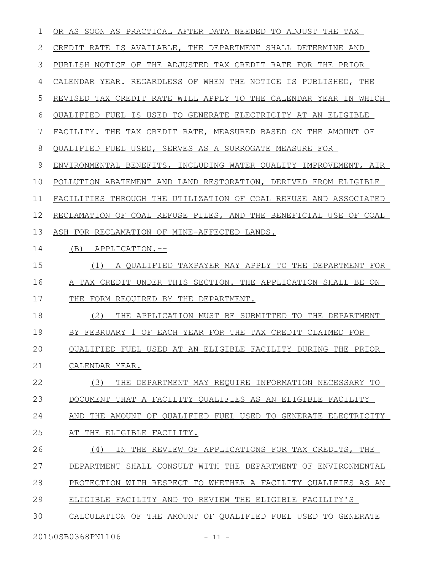OR AS SOON AS PRACTICAL AFTER DATA NEEDED TO ADJUST THE TAX CREDIT RATE IS AVAILABLE, THE DEPARTMENT SHALL DETERMINE AND PUBLISH NOTICE OF THE ADJUSTED TAX CREDIT RATE FOR THE PRIOR CALENDAR YEAR. REGARDLESS OF WHEN THE NOTICE IS PUBLISHED, THE REVISED TAX CREDIT RATE WILL APPLY TO THE CALENDAR YEAR IN WHICH QUALIFIED FUEL IS USED TO GENERATE ELECTRICITY AT AN ELIGIBLE FACILITY. THE TAX CREDIT RATE, MEASURED BASED ON THE AMOUNT OF QUALIFIED FUEL USED, SERVES AS A SURROGATE MEASURE FOR ENVIRONMENTAL BENEFITS, INCLUDING WATER QUALITY IMPROVEMENT, AIR POLLUTION ABATEMENT AND LAND RESTORATION, DERIVED FROM ELIGIBLE FACILITIES THROUGH THE UTILIZATION OF COAL REFUSE AND ASSOCIATED RECLAMATION OF COAL REFUSE PILES, AND THE BENEFICIAL USE OF COAL ASH FOR RECLAMATION OF MINE-AFFECTED LANDS. (B) APPLICATION.-- (1) A QUALIFIED TAXPAYER MAY APPLY TO THE DEPARTMENT FOR A TAX CREDIT UNDER THIS SECTION. THE APPLICATION SHALL BE ON THE FORM REQUIRED BY THE DEPARTMENT. (2) THE APPLICATION MUST BE SUBMITTED TO THE DEPARTMENT BY FEBRUARY 1 OF EACH YEAR FOR THE TAX CREDIT CLAIMED FOR QUALIFIED FUEL USED AT AN ELIGIBLE FACILITY DURING THE PRIOR CALENDAR YEAR. (3) THE DEPARTMENT MAY REQUIRE INFORMATION NECESSARY TO DOCUMENT THAT A FACILITY QUALIFIES AS AN ELIGIBLE FACILITY AND THE AMOUNT OF QUALIFIED FUEL USED TO GENERATE ELECTRICITY AT THE ELIGIBLE FACILITY. (4) IN THE REVIEW OF APPLICATIONS FOR TAX CREDITS, THE DEPARTMENT SHALL CONSULT WITH THE DEPARTMENT OF ENVIRONMENTAL PROTECTION WITH RESPECT TO WHETHER A FACILITY QUALIFIES AS AN ELIGIBLE FACILITY AND TO REVIEW THE ELIGIBLE FACILITY'S CALCULATION OF THE AMOUNT OF QUALIFIED FUEL USED TO GENERATE 20150SB0368PN1106 - 11 -1 2 3 4 5 6 7 8 9 10 11 12 13 14 15 16 17 18 19 20 21 22 23 24 25 26 27 28 29 30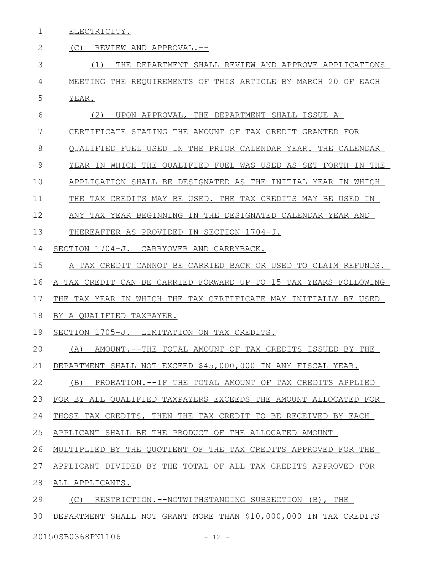ELECTRICITY. 1

#### (C) REVIEW AND APPROVAL.-- (1) THE DEPARTMENT SHALL REVIEW AND APPROVE APPLICATIONS MEETING THE REQUIREMENTS OF THIS ARTICLE BY MARCH 20 OF EACH YEAR. (2) UPON APPROVAL, THE DEPARTMENT SHALL ISSUE A CERTIFICATE STATING THE AMOUNT OF TAX CREDIT GRANTED FOR QUALIFIED FUEL USED IN THE PRIOR CALENDAR YEAR. THE CALENDAR YEAR IN WHICH THE QUALIFIED FUEL WAS USED AS SET FORTH IN THE APPLICATION SHALL BE DESIGNATED AS THE INITIAL YEAR IN WHICH THE TAX CREDITS MAY BE USED. THE TAX CREDITS MAY BE USED IN ANY TAX YEAR BEGINNING IN THE DESIGNATED CALENDAR YEAR AND THEREAFTER AS PROVIDED IN SECTION 1704-J. SECTION 1704-J. CARRYOVER AND CARRYBACK. A TAX CREDIT CANNOT BE CARRIED BACK OR USED TO CLAIM REFUNDS. A TAX CREDIT CAN BE CARRIED FORWARD UP TO 15 TAX YEARS FOLLOWING THE TAX YEAR IN WHICH THE TAX CERTIFICATE MAY INITIALLY BE USED BY A QUALIFIED TAXPAYER. SECTION 1705-J. LIMITATION ON TAX CREDITS. (A) AMOUNT.--THE TOTAL AMOUNT OF TAX CREDITS ISSUED BY THE DEPARTMENT SHALL NOT EXCEED \$45,000,000 IN ANY FISCAL YEAR. (B) PRORATION.--IF THE TOTAL AMOUNT OF TAX CREDITS APPLIED FOR BY ALL QUALIFIED TAXPAYERS EXCEEDS THE AMOUNT ALLOCATED FOR THOSE TAX CREDITS, THEN THE TAX CREDIT TO BE RECEIVED BY EACH APPLICANT SHALL BE THE PRODUCT OF THE ALLOCATED AMOUNT MULTIPLIED BY THE QUOTIENT OF THE TAX CREDITS APPROVED FOR THE APPLICANT DIVIDED BY THE TOTAL OF ALL TAX CREDITS APPROVED FOR ALL APPLICANTS. (C) RESTRICTION.--NOTWITHSTANDING SUBSECTION (B), THE DEPARTMENT SHALL NOT GRANT MORE THAN \$10,000,000 IN TAX CREDITS 2 3 4 5 6 7 8 9 10 11 12 13 14 15 16 17 18 19 20 21 22 23 24 25 26 27 28 29 30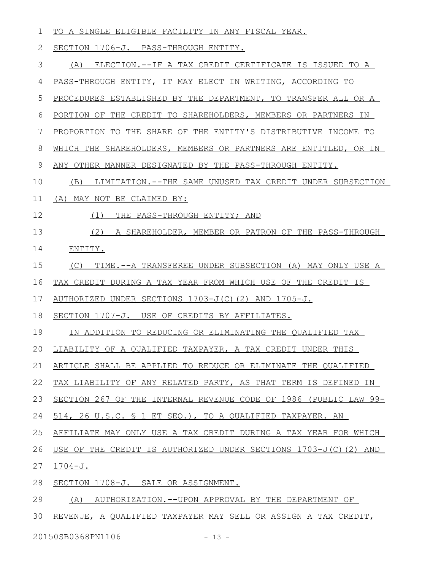| 1  | TO A SINGLE ELIGIBLE FACILITY IN ANY FISCAL YEAR.                  |
|----|--------------------------------------------------------------------|
| 2  | SECTION 1706-J. PASS-THROUGH ENTITY.                               |
| 3  | (A) ELECTION.--IF A TAX CREDIT CERTIFICATE IS ISSUED TO A          |
| 4  | PASS-THROUGH ENTITY, IT MAY ELECT IN WRITING, ACCORDING TO         |
| 5  | PROCEDURES ESTABLISHED BY THE DEPARTMENT, TO TRANSFER ALL OR A     |
| 6  | PORTION OF THE CREDIT TO SHAREHOLDERS, MEMBERS OR PARTNERS IN      |
| 7  | PROPORTION TO THE SHARE OF THE ENTITY'S DISTRIBUTIVE INCOME TO     |
| 8  | WHICH THE SHAREHOLDERS, MEMBERS OR PARTNERS ARE ENTITLED, OR IN    |
| 9  | ANY OTHER MANNER DESIGNATED BY THE PASS-THROUGH ENTITY.            |
| 10 | LIMITATION.--THE SAME UNUSED TAX CREDIT UNDER SUBSECTION<br>(B)    |
| 11 | (A) MAY NOT BE CLAIMED BY:                                         |
| 12 | THE PASS-THROUGH ENTITY; AND<br>(1)                                |
| 13 | (2) A SHAREHOLDER, MEMBER OR PATRON OF THE PASS-THROUGH            |
| 14 | ENTITY.                                                            |
| 15 | (C) TIME.--A TRANSFEREE UNDER SUBSECTION (A) MAY ONLY USE A        |
| 16 | TAX CREDIT DURING A TAX YEAR FROM WHICH USE OF THE CREDIT IS       |
| 17 | AUTHORIZED UNDER SECTIONS 1703-J(C)(2) AND 1705-J.                 |
| 18 | SECTION 1707-J. USE OF CREDITS BY AFFILIATES.                      |
| 19 | IN ADDITION TO REDUCING OR ELIMINATING THE QUALIFIED TAX           |
|    | 20 LIABILITY OF A QUALIFIED TAXPAYER, A TAX CREDIT UNDER THIS      |
| 21 | ARTICLE SHALL BE APPLIED TO REDUCE OR ELIMINATE THE QUALIFIED      |
| 22 | TAX LIABILITY OF ANY RELATED PARTY, AS THAT TERM IS DEFINED IN     |
| 23 | SECTION 267 OF THE INTERNAL REVENUE CODE OF 1986 (PUBLIC LAW 99-   |
| 24 | 514, 26 U.S.C. § 1 ET SEQ.), TO A QUALIFIED TAXPAYER. AN           |
| 25 | AFFILIATE MAY ONLY USE A TAX CREDIT DURING A TAX YEAR FOR WHICH    |
| 26 | USE OF THE CREDIT IS AUTHORIZED UNDER SECTIONS $1703-J(C)$ (2) AND |
| 27 | $1704 - J.$                                                        |
| 28 | SECTION 1708-J. SALE OR ASSIGNMENT.                                |
| 29 | (A)<br>AUTHORIZATION.--UPON APPROVAL BY THE DEPARTMENT OF          |
| 30 | REVENUE, A QUALIFIED TAXPAYER MAY SELL OR ASSIGN A TAX CREDIT,     |

20150SB0368PN1106 - 13 -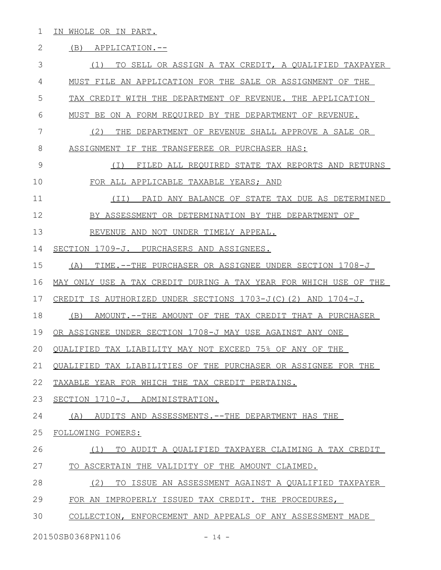1 IN WHOLE OR IN PART.

### 2 (B) APPLICATION.--

| 3  | TO SELL OR ASSIGN A TAX CREDIT, A QUALIFIED TAXPAYER<br>(1)        |
|----|--------------------------------------------------------------------|
| 4  | MUST FILE AN APPLICATION FOR THE SALE OR ASSIGNMENT OF THE         |
| 5  | TAX CREDIT WITH THE DEPARTMENT OF REVENUE. THE APPLICATION         |
| 6  | MUST BE ON A FORM REOUIRED BY THE DEPARTMENT OF REVENUE.           |
| 7  | (2)<br>THE DEPARTMENT OF REVENUE SHALL APPROVE A SALE OR           |
| 8  | ASSIGNMENT IF THE TRANSFEREE OR PURCHASER HAS:                     |
| 9  | FILED ALL REOUIRED STATE TAX REPORTS AND RETURNS<br>( I )          |
| 10 | FOR ALL APPLICABLE TAXABLE YEARS; AND                              |
| 11 | PAID ANY BALANCE OF STATE TAX DUE AS DETERMINED<br>(TI)            |
| 12 | BY ASSESSMENT OR DETERMINATION BY THE DEPARTMENT OF                |
| 13 | REVENUE AND NOT UNDER TIMELY APPEAL.                               |
| 14 | SECTION 1709-J. PURCHASERS AND ASSIGNEES.                          |
| 15 | TIME.--THE PURCHASER OR ASSIGNEE UNDER SECTION 1708-J<br>(A)       |
| 16 | MAY ONLY USE A TAX CREDIT DURING A TAX YEAR FOR WHICH USE OF THE   |
| 17 | CREDIT IS AUTHORIZED UNDER SECTIONS $1703-J(C)$ (2) AND $1704-J$ . |
| 18 | (B)<br>AMOUNT.--THE AMOUNT OF THE TAX CREDIT THAT A PURCHASER      |
| 19 | OR ASSIGNEE UNDER SECTION 1708-J MAY USE AGAINST ANY ONE           |
| 20 | QUALIFIED TAX LIABILITY MAY NOT EXCEED 75% OF ANY OF THE           |
| 21 | TAX LIABILITIES OF THE PURCHASER OR ASSIGNEE FOR THE<br>OUALIFIED  |
| 22 | TAXABLE YEAR FOR WHICH THE TAX CREDIT PERTAINS.                    |
| 23 | SECTION 1710-J. ADMINISTRATION.                                    |
| 24 | AUDITS AND ASSESSMENTS. -- THE DEPARTMENT HAS THE<br>(A)           |
| 25 | FOLLOWING POWERS:                                                  |
| 26 | (1)<br>TO AUDIT A QUALIFIED TAXPAYER CLAIMING A TAX CREDIT         |
| 27 | TO ASCERTAIN THE VALIDITY OF THE AMOUNT CLAIMED.                   |
| 28 | (2)<br>TO ISSUE AN ASSESSMENT AGAINST A QUALIFIED TAXPAYER         |
| 29 | FOR AN IMPROPERLY ISSUED TAX CREDIT. THE PROCEDURES,               |
| 30 | COLLECTION, ENFORCEMENT AND APPEALS OF ANY ASSESSMENT MADE         |

20150SB0368PN1106 - 14 -